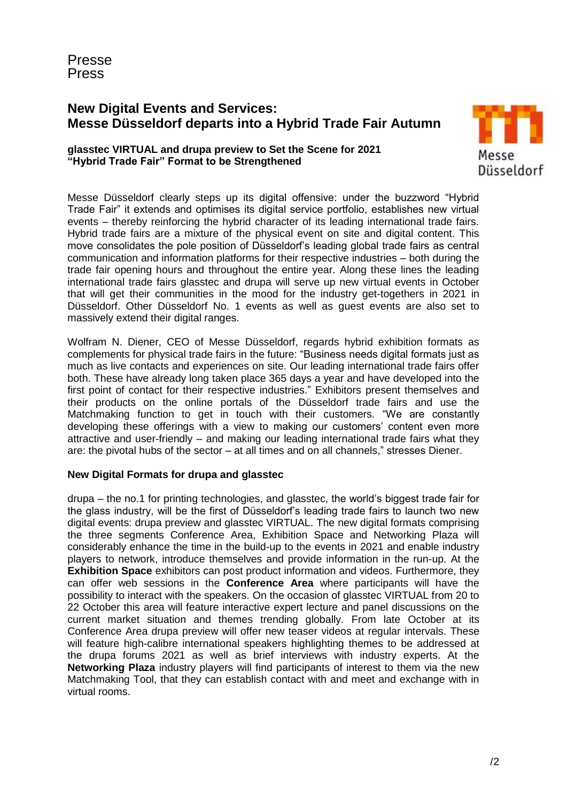Presse Press

# **New Digital Events and Services: Messe Düsseldorf departs into a Hybrid Trade Fair Autumn**

# **glasstec VIRTUAL and drupa preview to Set the Scene for 2021 "Hybrid Trade Fair" Format to be Strengthened**



Messe Düsseldorf clearly steps up its digital offensive: under the buzzword "Hybrid Trade Fair" it extends and optimises its digital service portfolio, establishes new virtual events – thereby reinforcing the hybrid character of its leading international trade fairs. Hybrid trade fairs are a mixture of the physical event on site and digital content. This move consolidates the pole position of Düsseldorf's leading global trade fairs as central communication and information platforms for their respective industries – both during the trade fair opening hours and throughout the entire year. Along these lines the leading international trade fairs glasstec and drupa will serve up new virtual events in October that will get their communities in the mood for the industry get-togethers in 2021 in Düsseldorf. Other Düsseldorf No. 1 events as well as guest events are also set to massively extend their digital ranges.

Wolfram N. Diener, CEO of Messe Düsseldorf, regards hybrid exhibition formats as complements for physical trade fairs in the future: "Business needs digital formats just as much as live contacts and experiences on site. Our leading international trade fairs offer both. These have already long taken place 365 days a year and have developed into the first point of contact for their respective industries." Exhibitors present themselves and their products on the online portals of the Düsseldorf trade fairs and use the Matchmaking function to get in touch with their customers. "We are constantly developing these offerings with a view to making our customers' content even more attractive and user-friendly – and making our leading international trade fairs what they are: the pivotal hubs of the sector – at all times and on all channels," stresses Diener.

### **New Digital Formats for drupa and glasstec**

drupa – the no.1 for printing technologies, and glasstec, the world's biggest trade fair for the glass industry, will be the first of Düsseldorf's leading trade fairs to launch two new digital events: drupa preview and glasstec VIRTUAL. The new digital formats comprising the three segments Conference Area, Exhibition Space and Networking Plaza will considerably enhance the time in the build-up to the events in 2021 and enable industry players to network, introduce themselves and provide information in the run-up. At the **Exhibition Space** exhibitors can post product information and videos. Furthermore, they can offer web sessions in the **Conference Area** where participants will have the possibility to interact with the speakers. On the occasion of glasstec VIRTUAL from 20 to 22 October this area will feature interactive expert lecture and panel discussions on the current market situation and themes trending globally. From late October at its Conference Area drupa preview will offer new teaser videos at regular intervals. These will feature high-calibre international speakers highlighting themes to be addressed at the drupa forums 2021 as well as brief interviews with industry experts. At the **Networking Plaza** industry players will find participants of interest to them via the new Matchmaking Tool, that they can establish contact with and meet and exchange with in virtual rooms.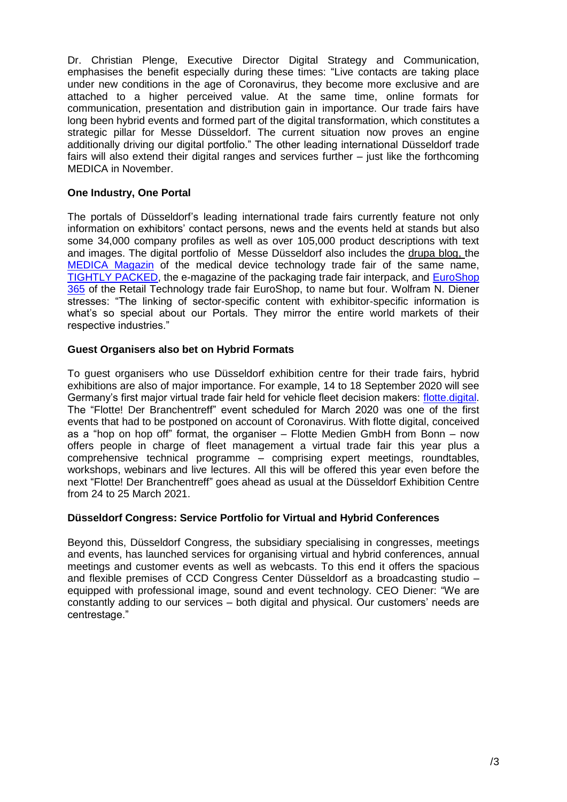Dr. Christian Plenge, Executive Director Digital Strategy and Communication, emphasises the benefit especially during these times: "Live contacts are taking place under new conditions in the age of Coronavirus, they become more exclusive and are attached to a higher perceived value. At the same time, online formats for communication, presentation and distribution gain in importance. Our trade fairs have long been hybrid events and formed part of the digital transformation, which constitutes a strategic pillar for Messe Düsseldorf. The current situation now proves an engine additionally driving our digital portfolio." The other leading international Düsseldorf trade fairs will also extend their digital ranges and services further – just like the forthcoming MEDICA in November.

# **One Industry, One Portal**

The portals of Düsseldorf's leading international trade fairs currently feature not only information on exhibitors' contact persons, news and the events held at stands but also some 34,000 company profiles as well as over 105,000 product descriptions with text and images. The digital portfolio of Messe Düsseldorf also includes the drupa blog, the [MEDICA Magazin](https://www.medica.de/de/MEDICA_Magazin-%C3%9Cbersicht?_ga=2.161662911.2003287960.1597731002-1155661061.1589273165) of the medical device technology trade fair of the same name, [TIGHTLY PACKED,](https://www.interpack.de/de/TIGHTLY_PACKED/NEWS/NEWS) the e-magazine of the packaging trade fair interpack, and [EuroShop](https://mag.euroshop.de/?gclid=EAIaIQobChMI1Pqbp9Cm6wIVBs13Ch0VDAauEAAYASAAEgKoq_D_BwE)  [365](https://mag.euroshop.de/?gclid=EAIaIQobChMI1Pqbp9Cm6wIVBs13Ch0VDAauEAAYASAAEgKoq_D_BwE) of the Retail Technology trade fair EuroShop, to name but four. Wolfram N. Diener stresses: "The linking of sector-specific content with exhibitor-specific information is what's so special about our Portals. They mirror the entire world markets of their respective industries."

# **Guest Organisers also bet on Hybrid Formats**

To guest organisers who use Düsseldorf exhibition centre for their trade fairs, hybrid exhibitions are also of major importance. For example, 14 to 18 September 2020 will see Germany's first major virtual trade fair held for vehicle fleet decision makers: [flotte.digital.](https://flotte.digital/) The "Flotte! Der Branchentreff" event scheduled for March 2020 was one of the first events that had to be postponed on account of Coronavirus. With flotte digital, conceived as a "hop on hop off" format, the organiser – Flotte Medien GmbH from Bonn – now offers people in charge of fleet management a virtual trade fair this year plus a comprehensive technical programme – comprising expert meetings, roundtables, workshops, webinars and live lectures. All this will be offered this year even before the next "Flotte! Der Branchentreff" goes ahead as usual at the Düsseldorf Exhibition Centre from 24 to 25 March 2021.

### **Düsseldorf Congress: Service Portfolio for Virtual and Hybrid Conferences**

Beyond this, Düsseldorf Congress, the subsidiary specialising in congresses, meetings and events, has launched services for organising virtual and hybrid conferences, annual meetings and customer events as well as webcasts. To this end it offers the spacious and flexible premises of CCD Congress Center Düsseldorf as a broadcasting studio – equipped with professional image, sound and event technology. CEO Diener: "We are constantly adding to our services – both digital and physical. Our customers' needs are centrestage."